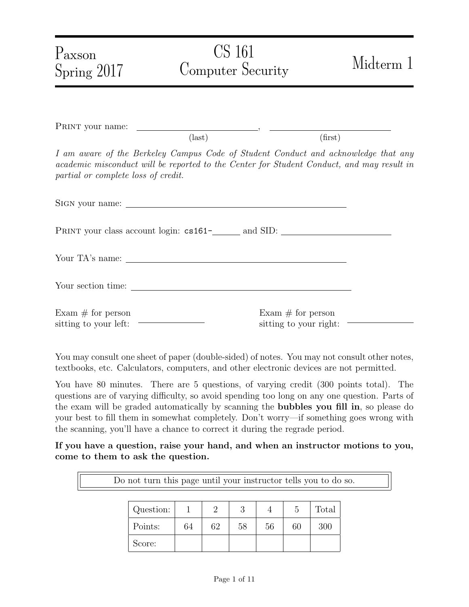| Paxson<br>Spring 2017               | CS 161<br><b>Computer Security</b>                                                                                                                                              | Midterm 1                                      |
|-------------------------------------|---------------------------------------------------------------------------------------------------------------------------------------------------------------------------------|------------------------------------------------|
|                                     |                                                                                                                                                                                 |                                                |
|                                     | $\text{(last)}$                                                                                                                                                                 | (first)                                        |
| partial or complete loss of credit. | I am aware of the Berkeley Campus Code of Student Conduct and acknowledge that any<br>academic misconduct will be reported to the Center for Student Conduct, and may result in |                                                |
|                                     |                                                                                                                                                                                 |                                                |
|                                     |                                                                                                                                                                                 |                                                |
|                                     |                                                                                                                                                                                 |                                                |
|                                     |                                                                                                                                                                                 |                                                |
| Exam $\#$ for person                |                                                                                                                                                                                 | Exam $\#$ for person<br>sitting to your right: |

You may consult one sheet of paper (double-sided) of notes. You may not consult other notes, textbooks, etc. Calculators, computers, and other electronic devices are not permitted.

You have 80 minutes. There are 5 questions, of varying credit (300 points total). The questions are of varying difficulty, so avoid spending too long on any one question. Parts of the exam will be graded automatically by scanning the bubbles you fill in, so please do your best to fill them in somewhat completely. Don't worry—if something goes wrong with the scanning, you'll have a chance to correct it during the regrade period.

If you have a question, raise your hand, and when an instructor motions to you, come to them to ask the question.

Do not turn this page until your instructor tells you to do so.

| Question: |    |    | റ  |    |    | Total |
|-----------|----|----|----|----|----|-------|
| Points:   | 64 | 62 | 58 | 56 | 60 | 300   |
| Score:    |    |    |    |    |    |       |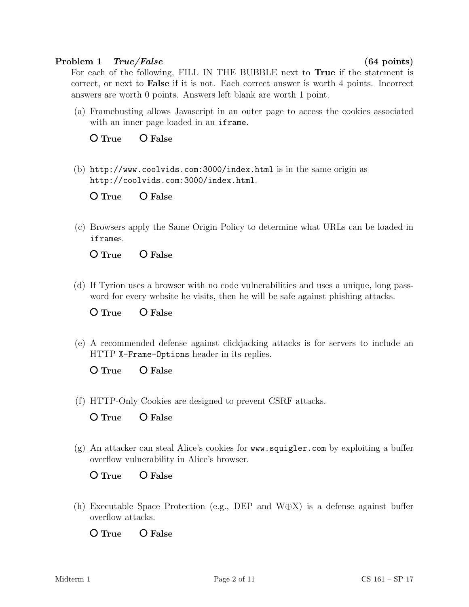### Problem 1 True/False (64 points)

For each of the following, FILL IN THE BUBBLE next to True if the statement is correct, or next to False if it is not. Each correct answer is worth 4 points. Incorrect answers are worth 0 points. Answers left blank are worth 1 point.

(a) Framebusting allows Javascript in an outer page to access the cookies associated with an inner page loaded in an iframe.

O True O False

(b) http://www.coolvids.com:3000/index.html is in the same origin as http://coolvids.com:3000/index.html.

O True O False

(c) Browsers apply the Same Origin Policy to determine what URLs can be loaded in iframes.

O True O False

(d) If Tyrion uses a browser with no code vulnerabilities and uses a unique, long password for every website he visits, then he will be safe against phishing attacks.

O True O False

(e) A recommended defense against clickjacking attacks is for servers to include an HTTP X-Frame-Options header in its replies.

 $O$  True  $O$  False

(f) HTTP-Only Cookies are designed to prevent CSRF attacks.

O True O False

(g) An attacker can steal Alice's cookies for www.squigler.com by exploiting a buffer overflow vulnerability in Alice's browser.

O True O False

(h) Executable Space Protection (e.g., DEP and W⊕X) is a defense against buffer overflow attacks.

O True O False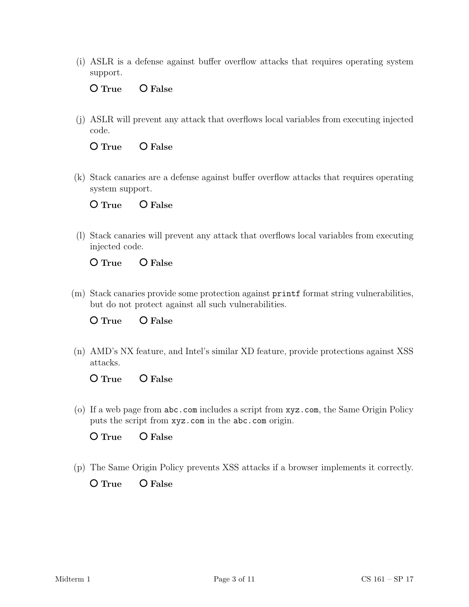(i) ASLR is a defense against buffer overflow attacks that requires operating system support.

O True O False

(j) ASLR will prevent any attack that overflows local variables from executing injected code.

O True O False

(k) Stack canaries are a defense against buffer overflow attacks that requires operating system support.

O True O False

(l) Stack canaries will prevent any attack that overflows local variables from executing injected code.

O True O False

(m) Stack canaries provide some protection against printf format string vulnerabilities, but do not protect against all such vulnerabilities.

O True O False

(n) AMD's NX feature, and Intel's similar XD feature, provide protections against XSS attacks.

O True O False

(o) If a web page from abc.com includes a script from xyz.com, the Same Origin Policy puts the script from xyz.com in the abc.com origin.

O True O False

(p) The Same Origin Policy prevents XSS attacks if a browser implements it correctly.

 $O$  True  $O$  False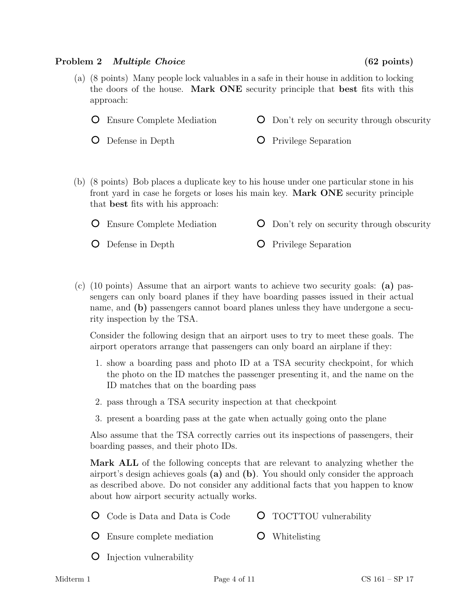### Problem 2 *Multiple Choice* (62 points)

- (a) (8 points) Many people lock valuables in a safe in their house in addition to locking the doors of the house. Mark ONE security principle that best fits with this approach:
	- Ensure Complete Mediation Don't rely on security through obscurity
	- Defense in Depth **O** Privilege Separation
- (b) (8 points) Bob places a duplicate key to his house under one particular stone in his front yard in case he forgets or loses his main key. Mark ONE security principle that best fits with his approach:
	- Ensure Complete Mediation Don't rely on security through obscurity
	- Defense in Depth
- **O** Privilege Separation
- (c) (10 points) Assume that an airport wants to achieve two security goals: (a) passengers can only board planes if they have boarding passes issued in their actual name, and (b) passengers cannot board planes unless they have undergone a security inspection by the TSA.

Consider the following design that an airport uses to try to meet these goals. The airport operators arrange that passengers can only board an airplane if they:

- 1. show a boarding pass and photo ID at a TSA security checkpoint, for which the photo on the ID matches the passenger presenting it, and the name on the ID matches that on the boarding pass
- 2. pass through a TSA security inspection at that checkpoint
- 3. present a boarding pass at the gate when actually going onto the plane

Also assume that the TSA correctly carries out its inspections of passengers, their boarding passes, and their photo IDs.

Mark ALL of the following concepts that are relevant to analyzing whether the airport's design achieves goals (a) and (b). You should only consider the approach as described above. Do not consider any additional facts that you happen to know about how airport security actually works.

- Code is Data and Data is Code TOCTTOU vulnerability
- Ensure complete mediation Whitelisting
- **O** Injection vulnerability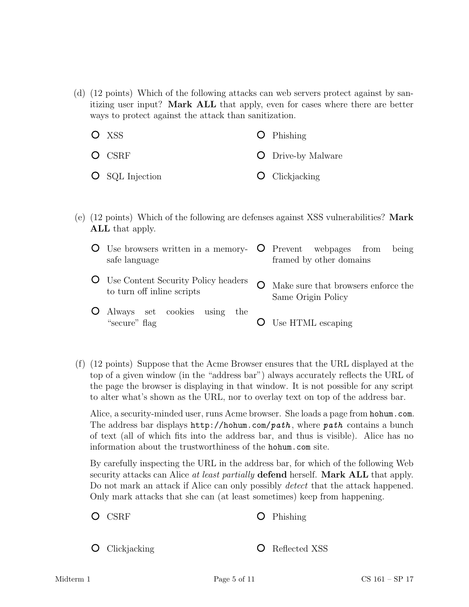(d) (12 points) Which of the following attacks can web servers protect against by sanitizing user input? Mark ALL that apply, even for cases where there are better ways to protect against the attack than sanitization.

| O XSS                  | $\bullet$ Phishing        |
|------------------------|---------------------------|
| $O$ CSRF               | <b>O</b> Drive-by Malware |
| <b>O</b> SQL Injection | $\bullet$ Clickjacking    |

(e) (12 points) Which of the following are defenses against XSS vulnerabilities? Mark ALL that apply.

| O Use browsers written in a memory- O Prevent webpages from<br>safe language | being<br>framed by other domains                          |
|------------------------------------------------------------------------------|-----------------------------------------------------------|
| <b>O</b> Use Content Security Policy headers<br>to turn off inline scripts   | Make sure that browsers enforce the<br>Same Origin Policy |
| O Always set cookies<br>using<br>the<br>"secure" flag                        | Use HTML escaping                                         |

(f) (12 points) Suppose that the Acme Browser ensures that the URL displayed at the top of a given window (in the "address bar") always accurately reflects the URL of the page the browser is displaying in that window. It is not possible for any script to alter what's shown as the URL, nor to overlay text on top of the address bar.

Alice, a security-minded user, runs Acme browser. She loads a page from hohum.com. The address bar displays  $http://hohum.com/path, where path contains a bunch$ of text (all of which fits into the address bar, and thus is visible). Alice has no information about the trustworthiness of the hohum.com site.

By carefully inspecting the URL in the address bar, for which of the following Web security attacks can Alice at least partially **defend** herself. **Mark ALL** that apply. Do not mark an attack if Alice can only possibly detect that the attack happened. Only mark attacks that she can (at least sometimes) keep from happening.

- O CSRF Phishing
- **O** Clickjacking

**O** Reflected XSS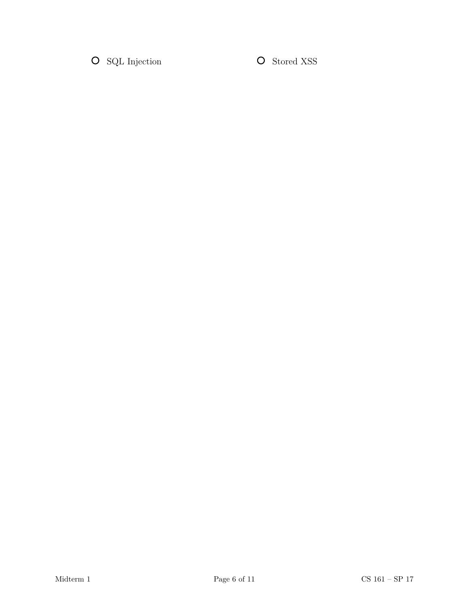$\bullet$  SQL Injection  $\bullet$  Stored XSS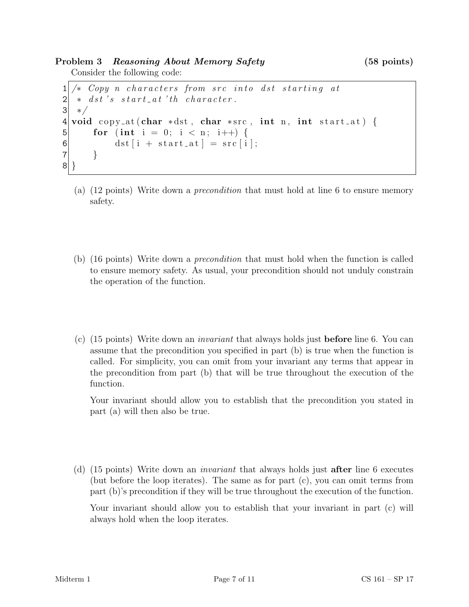Problem 3 Reasoning About Memory Safety (58 points)

```
Consider the following code:
```

```
1 \times Copy n characters from src into dst starting at
2 \mid * \text{dst's start}\_at \text{'th character}.3 ∗/
4 void copy_at (char *dst, char *src, int n, int start_at) {
5 for (int i = 0; i < n; i++) {
6 \det[i + start_{at}] = src[i];7 }
8 }
```
- (a) (12 points) Write down a precondition that must hold at line 6 to ensure memory safety.
- (b) (16 points) Write down a precondition that must hold when the function is called to ensure memory safety. As usual, your precondition should not unduly constrain the operation of the function.
- (c)  $(15 \text{ points})$  Write down an *invariant* that always holds just **before** line 6. You can assume that the precondition you specified in part (b) is true when the function is called. For simplicity, you can omit from your invariant any terms that appear in the precondition from part (b) that will be true throughout the execution of the function.

Your invariant should allow you to establish that the precondition you stated in part (a) will then also be true.

(d) (15 points) Write down an invariant that always holds just after line 6 executes (but before the loop iterates). The same as for part (c), you can omit terms from part (b)'s precondition if they will be true throughout the execution of the function.

Your invariant should allow you to establish that your invariant in part (c) will always hold when the loop iterates.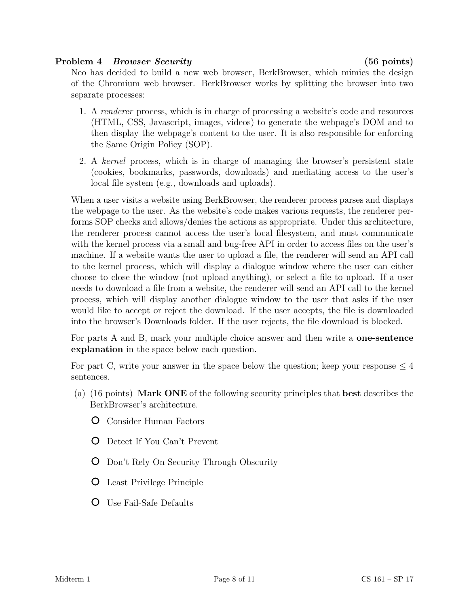## Problem 4 Browser Security (56 points)

Neo has decided to build a new web browser, BerkBrowser, which mimics the design of the Chromium web browser. BerkBrowser works by splitting the browser into two separate processes:

- 1. A *renderer* process, which is in charge of processing a website's code and resources (HTML, CSS, Javascript, images, videos) to generate the webpage's DOM and to then display the webpage's content to the user. It is also responsible for enforcing the Same Origin Policy (SOP).
- 2. A kernel process, which is in charge of managing the browser's persistent state (cookies, bookmarks, passwords, downloads) and mediating access to the user's local file system (e.g., downloads and uploads).

When a user visits a website using BerkBrowser, the renderer process parses and displays the webpage to the user. As the website's code makes various requests, the renderer performs SOP checks and allows/denies the actions as appropriate. Under this architecture, the renderer process cannot access the user's local filesystem, and must communicate with the kernel process via a small and bug-free API in order to access files on the user's machine. If a website wants the user to upload a file, the renderer will send an API call to the kernel process, which will display a dialogue window where the user can either choose to close the window (not upload anything), or select a file to upload. If a user needs to download a file from a website, the renderer will send an API call to the kernel process, which will display another dialogue window to the user that asks if the user would like to accept or reject the download. If the user accepts, the file is downloaded into the browser's Downloads folder. If the user rejects, the file download is blocked.

For parts A and B, mark your multiple choice answer and then write a one-sentence explanation in the space below each question.

For part C, write your answer in the space below the question; keep your response  $\leq 4$ sentences.

- (a) (16 points) Mark ONE of the following security principles that best describes the BerkBrowser's architecture.
	- Consider Human Factors
	- Detect If You Can't Prevent
	- Don't Rely On Security Through Obscurity
	- Least Privilege Principle
	- Use Fail-Safe Defaults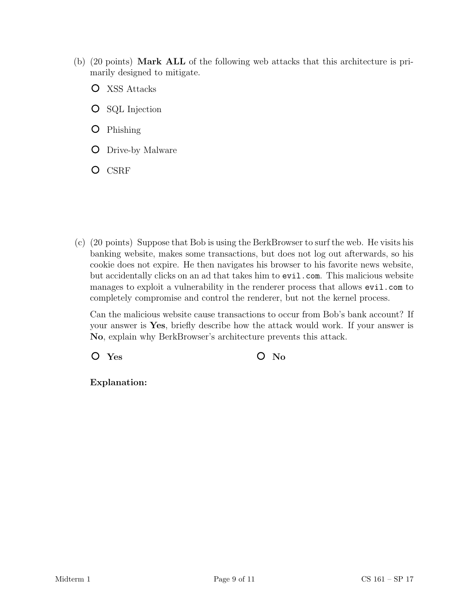- (b) (20 points) Mark ALL of the following web attacks that this architecture is primarily designed to mitigate.
	- XSS Attacks
	- **O** SQL Injection
	- **O** Phishing
	- **O** Drive-by Malware
	- O CSRF

(c) (20 points) Suppose that Bob is using the BerkBrowser to surf the web. He visits his banking website, makes some transactions, but does not log out afterwards, so his cookie does not expire. He then navigates his browser to his favorite news website, but accidentally clicks on an ad that takes him to evil.com. This malicious website manages to exploit a vulnerability in the renderer process that allows evil.com to completely compromise and control the renderer, but not the kernel process.

Can the malicious website cause transactions to occur from Bob's bank account? If your answer is Yes, briefly describe how the attack would work. If your answer is No, explain why BerkBrowser's architecture prevents this attack.

 $O$  Yes  $O$  No

Explanation: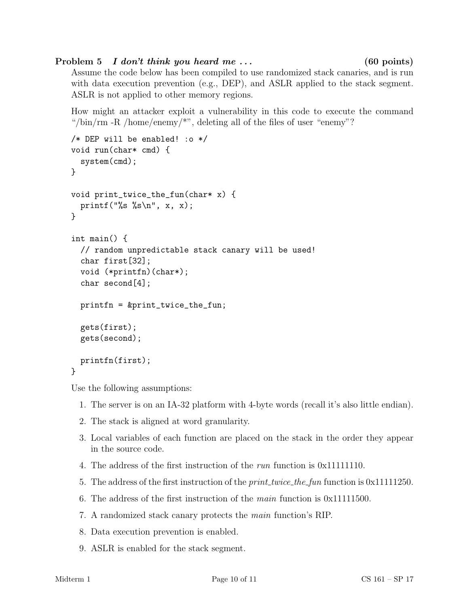# Problem 5 I don't think you heard me ... (60 points)

Assume the code below has been compiled to use randomized stack canaries, and is run with data execution prevention (e.g., DEP), and ASLR applied to the stack segment. ASLR is not applied to other memory regions.

How might an attacker exploit a vulnerability in this code to execute the command "/bin/rm -R /home/enemy/ $\ast$ ", deleting all of the files of user "enemy"?

```
/* DEP will be enabled! :o */
void run(char* cmd) {
  system(cmd);
}
void print_twice_the_fun(char* x) {
  printf("%s %s\n", x, x);
}
int main() {
  // random unpredictable stack canary will be used!
  char first[32];
  void (*printfn)(char*);
  char second[4];
  printfn = &print_twice_the_fun;
  gets(first);
  gets(second);
  printfn(first);
}
```
Use the following assumptions:

- 1. The server is on an IA-32 platform with 4-byte words (recall it's also little endian).
- 2. The stack is aligned at word granularity.
- 3. Local variables of each function are placed on the stack in the order they appear in the source code.
- 4. The address of the first instruction of the run function is 0x11111110.
- 5. The address of the first instruction of the *print\_twice\_the\_fun* function is 0x11111250.
- 6. The address of the first instruction of the *main* function is  $0x11111500$ .
- 7. A randomized stack canary protects the main function's RIP.
- 8. Data execution prevention is enabled.
- 9. ASLR is enabled for the stack segment.